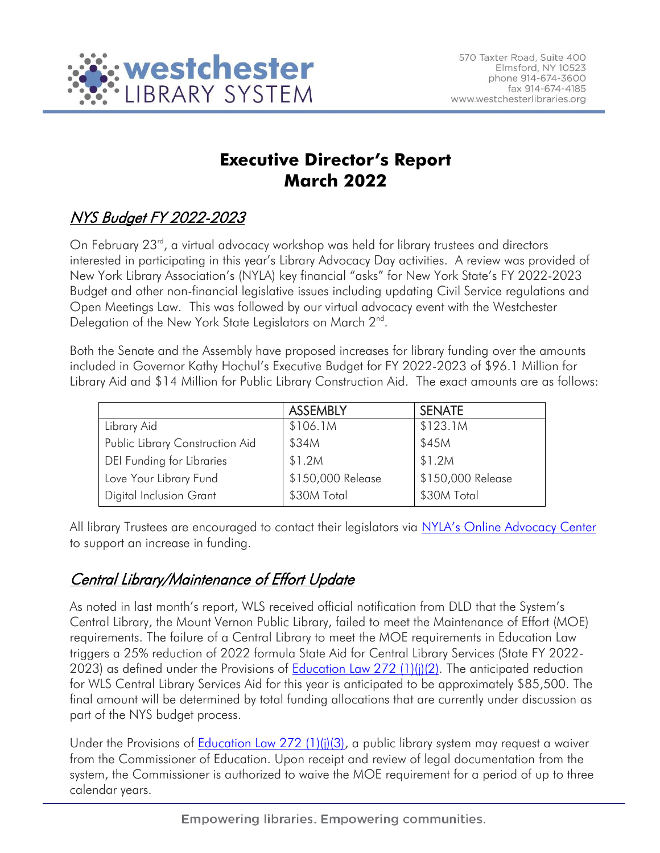

# **Executive Director's Report March 2022**

# NYS Budget FY 2022-2023

On February 23<sup>rd</sup>, a virtual advocacy workshop was held for library trustees and directors interested in participating in this year's Library Advocacy Day activities. A review was provided of New York Library Association's (NYLA) key financial "asks" for New York State's FY 2022-2023 Budget and other non-financial legislative issues including updating Civil Service regulations and Open Meetings Law. This was followed by our virtual advocacy event with the Westchester Delegation of the New York State Legislators on March 2<sup>nd</sup>.

Both the Senate and the Assembly have proposed increases for library funding over the amounts included in Governor Kathy Hochul's Executive Budget for FY 2022-2023 of \$96.1 Million for Library Aid and \$14 Million for Public Library Construction Aid. The exact amounts are as follows:

|                                 | <b>ASSEMBLY</b>   | <b>SENATE</b>     |
|---------------------------------|-------------------|-------------------|
|                                 |                   |                   |
| Library Aid                     | \$106.1M          | \$123.1M          |
| Public Library Construction Aid | \$34M             | \$45M             |
| DEI Funding for Libraries       | \$1.2M            | \$1.2M            |
| Love Your Library Fund          | \$150,000 Release | \$150,000 Release |
| <b>Digital Inclusion Grant</b>  | \$30M Total       | \$30M Total       |

All library Trustees are encouraged to contact their legislators via [NYLA's Online Advocacy Center](https://cqrcengage.com/alany/app/write-a-letter?0&engagementId=514094&utm_source=ALL+NYLA&utm_campaign=bbeee985e2-EMAIL_CAMPAIGN_2020_10_19_07_23_COPY_01&utm_medium=email&utm_term=0_1a8613b33e-bbeee985e2-92899211) to support an increase in funding.

## Central Library/Maintenance of Effort Update

As noted in last month's report, WLS received official notification from DLD that the System's Central Library, the Mount Vernon Public Library, failed to meet the Maintenance of Effort (MOE) requirements. The failure of a Central Library to meet the MOE requirements in Education Law triggers a 25% reduction of 2022 formula State Aid for Central Library Services (State FY 2022- 2023) as defined under the Provisions of **Education Law 272 (1)(j)(2)**. The anticipated reduction for WLS Central Library Services Aid for this year is anticipated to be approximately \$85,500. The final amount will be determined by total funding allocations that are currently under discussion as part of the NYS budget process.

Under the Provisions of [Education Law 272 \(1\)\(j\)\(3\),](https://codes.findlaw.com/ny/education-law/edn-sect-272.html) a public library system may request a waiver from the Commissioner of Education. Upon receipt and review of legal documentation from the system, the Commissioner is authorized to waive the MOE requirement for a period of up to three calendar years.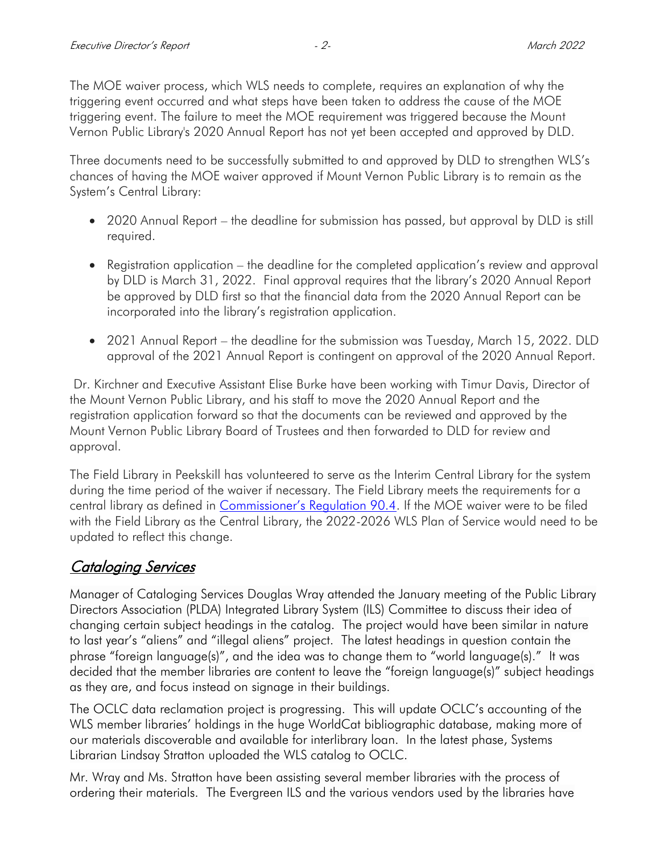The MOE waiver process, which WLS needs to complete, requires an explanation of why the triggering event occurred and what steps have been taken to address the cause of the MOE triggering event. The failure to meet the MOE requirement was triggered because the Mount Vernon Public Library's 2020 Annual Report has not yet been accepted and approved by DLD.

Three documents need to be successfully submitted to and approved by DLD to strengthen WLS's chances of having the MOE waiver approved if Mount Vernon Public Library is to remain as the System's Central Library:

- 2020 Annual Report the deadline for submission has passed, but approval by DLD is still required.
- Registration application the deadline for the completed application's review and approval by DLD is March 31, 2022. Final approval requires that the library's 2020 Annual Report be approved by DLD first so that the financial data from the 2020 Annual Report can be incorporated into the library's registration application.
- 2021 Annual Report the deadline for the submission was Tuesday, March 15, 2022. DLD approval of the 2021 Annual Report is contingent on approval of the 2020 Annual Report.

Dr. Kirchner and Executive Assistant Elise Burke have been working with Timur Davis, Director of the Mount Vernon Public Library, and his staff to move the 2020 Annual Report and the registration application forward so that the documents can be reviewed and approved by the Mount Vernon Public Library Board of Trustees and then forwarded to DLD for review and approval.

The Field Library in Peekskill has volunteered to serve as the Interim Central Library for the system during the time period of the waiver if necessary. The Field Library meets the requirements for a central library as defined in [Commissioner's Regulation 90.4](https://govt.westlaw.com/nycrr/Document/I3651a5a3c22211ddb29d8bee567fca9f?viewType=FullText&originationContext=documenttoc&transitionType=CategoryPageItem&contextData=(sc.Default)&bhcp=1). If the MOE waiver were to be filed with the Field Library as the Central Library, the 2022-2026 WLS Plan of Service would need to be updated to reflect this change.

### Cataloging Services

Manager of Cataloging Services Douglas Wray attended the January meeting of the Public Library Directors Association (PLDA) Integrated Library System (ILS) Committee to discuss their idea of changing certain subject headings in the catalog. The project would have been similar in nature to last year's "aliens" and "illegal aliens" project. The latest headings in question contain the phrase "foreign language(s)", and the idea was to change them to "world language(s)." It was decided that the member libraries are content to leave the "foreign language(s)" subject headings as they are, and focus instead on signage in their buildings.

The OCLC data reclamation project is progressing. This will update OCLC's accounting of the WLS member libraries' holdings in the huge WorldCat bibliographic database, making more of our materials discoverable and available for interlibrary loan. In the latest phase, Systems Librarian Lindsay Stratton uploaded the WLS catalog to OCLC.

Mr. Wray and Ms. Stratton have been assisting several member libraries with the process of ordering their materials. The Evergreen ILS and the various vendors used by the libraries have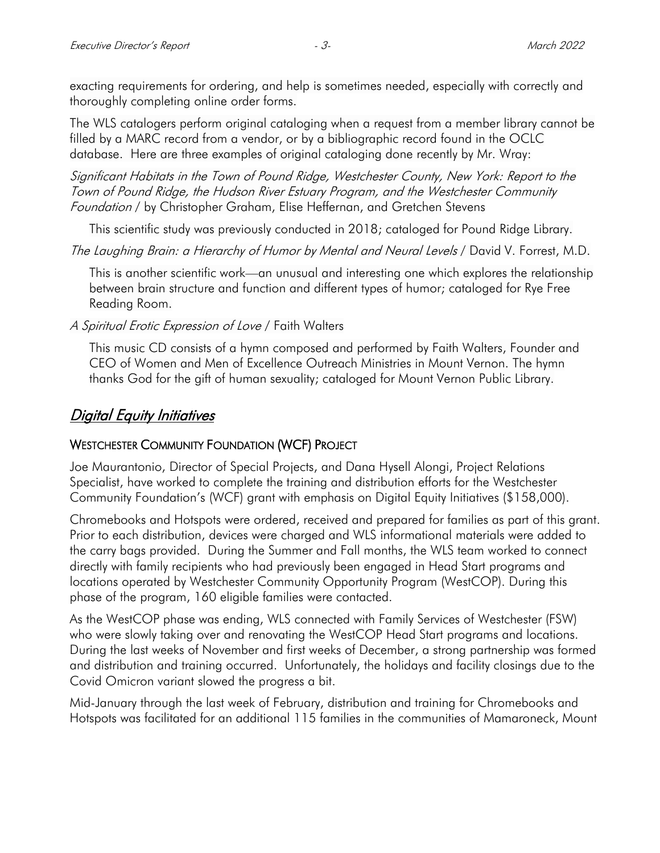exacting requirements for ordering, and help is sometimes needed, especially with correctly and thoroughly completing online order forms.

The WLS catalogers perform original cataloging when a request from a member library cannot be filled by a MARC record from a vendor, or by a bibliographic record found in the OCLC database. Here are three examples of original cataloging done recently by Mr. Wray:

Significant Habitats in the Town of Pound Ridge, Westchester County, New York: Report to the Town of Pound Ridge, the Hudson River Estuary Program, and the Westchester Community Foundation / by Christopher Graham, Elise Heffernan, and Gretchen Stevens

This scientific study was previously conducted in 2018; cataloged for Pound Ridge Library.

The Laughing Brain: a Hierarchy of Humor by Mental and Neural Levels / David V. Forrest, M.D.

This is another scientific work—an unusual and interesting one which explores the relationship between brain structure and function and different types of humor; cataloged for Rye Free Reading Room.

A Spiritual Erotic Expression of Love / Faith Walters

This music CD consists of a hymn composed and performed by Faith Walters, Founder and CEO of Women and Men of Excellence Outreach Ministries in Mount Vernon. The hymn thanks God for the gift of human sexuality; cataloged for Mount Vernon Public Library.

### Digital Equity Initiatives

### WESTCHESTER COMMUNITY FOUNDATION (WCF) PROJECT

Joe Maurantonio, Director of Special Projects, and Dana Hysell Alongi, Project Relations Specialist, have worked to complete the training and distribution efforts for the Westchester Community Foundation's (WCF) grant with emphasis on Digital Equity Initiatives (\$158,000).

Chromebooks and Hotspots were ordered, received and prepared for families as part of this grant. Prior to each distribution, devices were charged and WLS informational materials were added to the carry bags provided. During the Summer and Fall months, the WLS team worked to connect directly with family recipients who had previously been engaged in Head Start programs and locations operated by Westchester Community Opportunity Program (WestCOP). During this phase of the program, 160 eligible families were contacted.

As the WestCOP phase was ending, WLS connected with Family Services of Westchester (FSW) who were slowly taking over and renovating the WestCOP Head Start programs and locations. During the last weeks of November and first weeks of December, a strong partnership was formed and distribution and training occurred. Unfortunately, the holidays and facility closings due to the Covid Omicron variant slowed the progress a bit.

Mid-January through the last week of February, distribution and training for Chromebooks and Hotspots was facilitated for an additional 115 families in the communities of Mamaroneck, Mount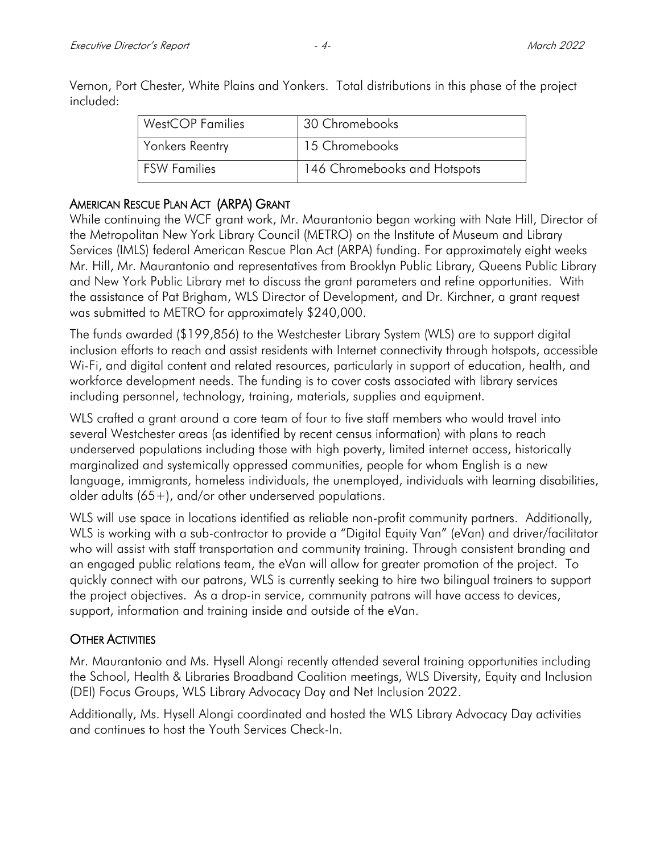| <b>WestCOP Families</b> | 30 Chromebooks               |
|-------------------------|------------------------------|
| Yonkers Reentry         | 15 Chromebooks               |
| l FSW Families          | 146 Chromebooks and Hotspots |

Vernon, Port Chester, White Plains and Yonkers. Total distributions in this phase of the project included:

#### AMERICAN RESCUE PLAN ACT (ARPA) GRANT

While continuing the WCF grant work, Mr. Maurantonio began working with Nate Hill, Director of the Metropolitan New York Library Council (METRO) on the Institute of Museum and Library Services (IMLS) federal American Rescue Plan Act (ARPA) funding. For approximately eight weeks Mr. Hill, Mr. Maurantonio and representatives from Brooklyn Public Library, Queens Public Library and New York Public Library met to discuss the grant parameters and refine opportunities. With the assistance of Pat Brigham, WLS Director of Development, and Dr. Kirchner, a grant request was submitted to METRO for approximately \$240,000.

The funds awarded (\$199,856) to the Westchester Library System (WLS) are to support digital inclusion efforts to reach and assist residents with Internet connectivity through hotspots, accessible Wi-Fi, and digital content and related resources, particularly in support of education, health, and workforce development needs. The funding is to cover costs associated with library services including personnel, technology, training, materials, supplies and equipment.

WLS crafted a grant around a core team of four to five staff members who would travel into several Westchester areas (as identified by recent census information) with plans to reach underserved populations including those with high poverty, limited internet access, historically marginalized and systemically oppressed communities, people for whom English is a new language, immigrants, homeless individuals, the unemployed, individuals with learning disabilities, older adults (65+), and/or other underserved populations.

WLS will use space in locations identified as reliable non-profit community partners. Additionally, WLS is working with a sub-contractor to provide a "Digital Equity Van" (eVan) and driver/facilitator who will assist with staff transportation and community training. Through consistent branding and an engaged public relations team, the eVan will allow for greater promotion of the project. To quickly connect with our patrons, WLS is currently seeking to hire two bilingual trainers to support the project objectives. As a drop-in service, community patrons will have access to devices, support, information and training inside and outside of the eVan.

### **OTHER ACTIVITIES**

Mr. Maurantonio and Ms. Hysell Alongi recently attended several training opportunities including the School, Health & Libraries Broadband Coalition meetings, WLS Diversity, Equity and Inclusion (DEI) Focus Groups, WLS Library Advocacy Day and Net Inclusion 2022.

Additionally, Ms. Hysell Alongi coordinated and hosted the WLS Library Advocacy Day activities and continues to host the Youth Services Check-In.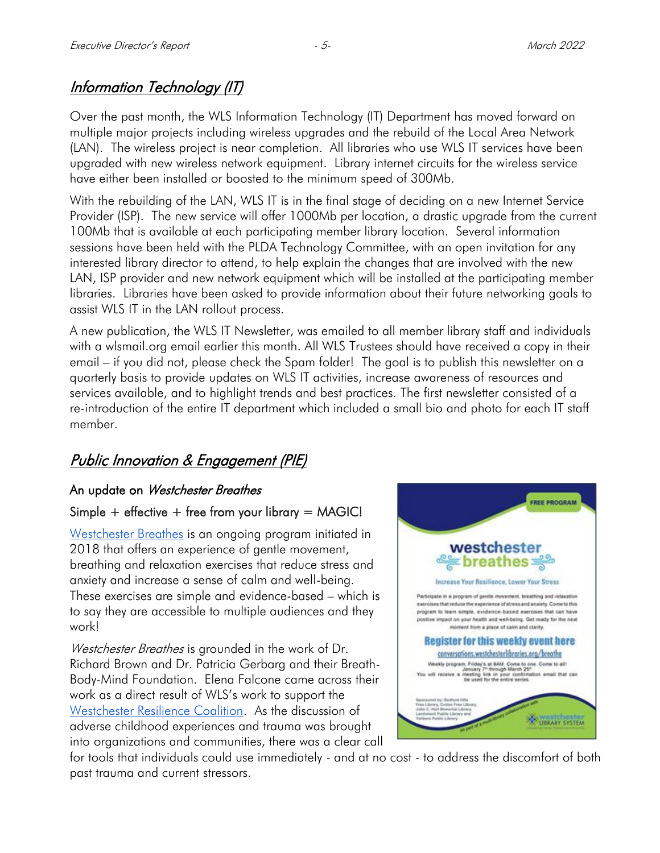## **Information Technology (IT)**

Over the past month, the WLS Information Technology (IT) Department has moved forward on multiple major projects including wireless upgrades and the rebuild of the Local Area Network (LAN). The wireless project is near completion. All libraries who use WLS IT services have been upgraded with new wireless network equipment. Library internet circuits for the wireless service have either been installed or boosted to the minimum speed of 300Mb.

With the rebuilding of the LAN, WLS IT is in the final stage of deciding on a new Internet Service Provider (ISP). The new service will offer 1000Mb per location, a drastic upgrade from the current 100Mb that is available at each participating member library location. Several information sessions have been held with the PLDA Technology Committee, with an open invitation for any interested library director to attend, to help explain the changes that are involved with the new LAN, ISP provider and new network equipment which will be installed at the participating member libraries. Libraries have been asked to provide information about their future networking goals to assist WLS IT in the LAN rollout process.

A new publication, the WLS IT Newsletter, was emailed to all member library staff and individuals with a wlsmail.org email earlier this month. All WLS Trustees should have received a copy in their email – if you did not, please check the Spam folder! The goal is to publish this newsletter on a quarterly basis to provide updates on WLS IT activities, increase awareness of resources and services available, and to highlight trends and best practices. The first newsletter consisted of a re-introduction of the entire IT department which included a small bio and photo for each IT staff member.

### Public Innovation & Engagement (PIE)

### An update on Westchester Breathes

### Simple  $+$  effective  $+$  free from your library  $=$  MAGIC!

[Westchester Breathes](https://conversations.westchesterlibraries.org/breathe/) is an ongoing program initiated in 2018 that offers an experience of gentle movement, breathing and relaxation exercises that reduce stress and anxiety and increase a sense of calm and well-being. These exercises are simple and evidence-based – which is to say they are accessible to multiple audiences and they work!

Westchester Breathes is grounded in the work of Dr. Richard Brown and Dr. Patricia Gerbarg and their Breath-Body-Mind Foundation. Elena Falcone came across their work as a direct result of WLS's work to support the [Westchester Resilience Coalition.](https://conversations.westchesterlibraries.org/westchester-resilience-coalition-2021/) As the discussion of adverse childhood experiences and trauma was brought into organizations and communities, there was a clear call



for tools that individuals could use immediately - and at no cost - to address the discomfort of both past trauma and current stressors.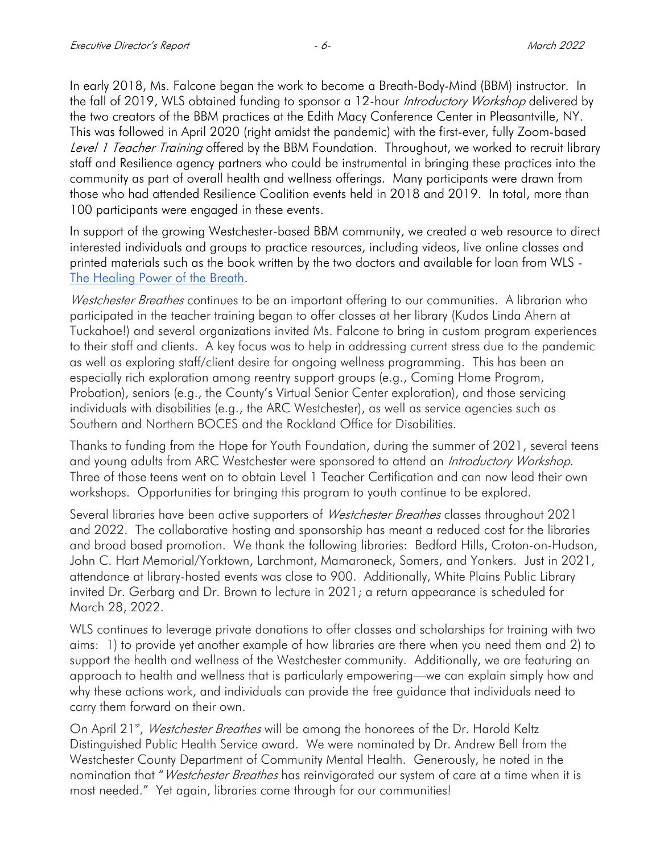In early 2018, Ms. Falcone began the work to become a Breath-Body-Mind (BBM) instructor. In the fall of 2019, WLS obtained funding to sponsor a 12-hour Introductory Workshop delivered by the two creators of the BBM practices at the Edith Macy Conference Center in Pleasantville, NY. This was followed in April 2020 (right amidst the pandemic) with the first-ever, fully Zoom-based Level 1 Teacher Training offered by the BBM Foundation. Throughout, we worked to recruit library staff and Resilience agency partners who could be instrumental in bringing these practices into the community as part of overall health and wellness offerings. Many participants were drawn from those who had attended Resilience Coalition events held in 2018 and 2019. In total, more than 100 participants were engaged in these events.

In support of the growing Westchester-based BBM community, we created a web resource to direct interested individuals and groups to practice resources, including videos, live online classes and printed materials such as the book written by the two doctors and available for loan from WLS - [The Healing Power of the Breath.](https://catalog.westchesterlibraries.org/eg/opac/record/3864685?query=the%20healing%20power%20of%20the%20breath;qtype=keyword)

*Westchester Breathes* continues to be an important offering to our communities. A librarian who participated in the teacher training began to offer classes at her library (Kudos Linda Ahern at Tuckahoe!) and several organizations invited Ms. Falcone to bring in custom program experiences to their staff and clients. A key focus was to help in addressing current stress due to the pandemic as well as exploring staff/client desire for ongoing wellness programming. This has been an especially rich exploration among reentry support groups (e.g., Coming Home Program, Probation), seniors (e.g., the County's Virtual Senior Center exploration), and those servicing individuals with disabilities (e.g., the ARC Westchester), as well as service agencies such as Southern and Northern BOCES and the Rockland Office for Disabilities.

Thanks to funding from the Hope for Youth Foundation, during the summer of 2021, several teens and young adults from ARC Westchester were sponsored to attend an Introductory Workshop. Three of those teens went on to obtain Level 1 Teacher Certification and can now lead their own workshops. Opportunities for bringing this program to youth continue to be explored.

Several libraries have been active supporters of *Westchester Breathes* classes throughout 2021 and 2022. The collaborative hosting and sponsorship has meant a reduced cost for the libraries and broad based promotion. We thank the following libraries: Bedford Hills, Croton-on-Hudson, John C. Hart Memorial/Yorktown, Larchmont, Mamaroneck, Somers, and Yonkers. Just in 2021, attendance at library-hosted events was close to 900. Additionally, White Plains Public Library invited Dr. Gerbarg and Dr. Brown to lecture in 2021; a return appearance is scheduled for March 28, 2022.

WLS continues to leverage private donations to offer classes and scholarships for training with two aims: 1) to provide yet another example of how libraries are there when you need them and 2) to support the health and wellness of the Westchester community. Additionally, we are featuring an approach to health and wellness that is particularly empowering—we can explain simply how and why these actions work, and individuals can provide the free guidance that individuals need to carry them forward on their own.

On April 21<sup>st</sup>, Westchester Breathes will be among the honorees of the Dr. Harold Keltz Distinguished Public Health Service award. We were nominated by Dr. Andrew Bell from the Westchester County Department of Community Mental Health. Generously, he noted in the nomination that "*Westchester Breathes* has reinvigorated our system of care at a time when it is most needed." Yet again, libraries come through for our communities!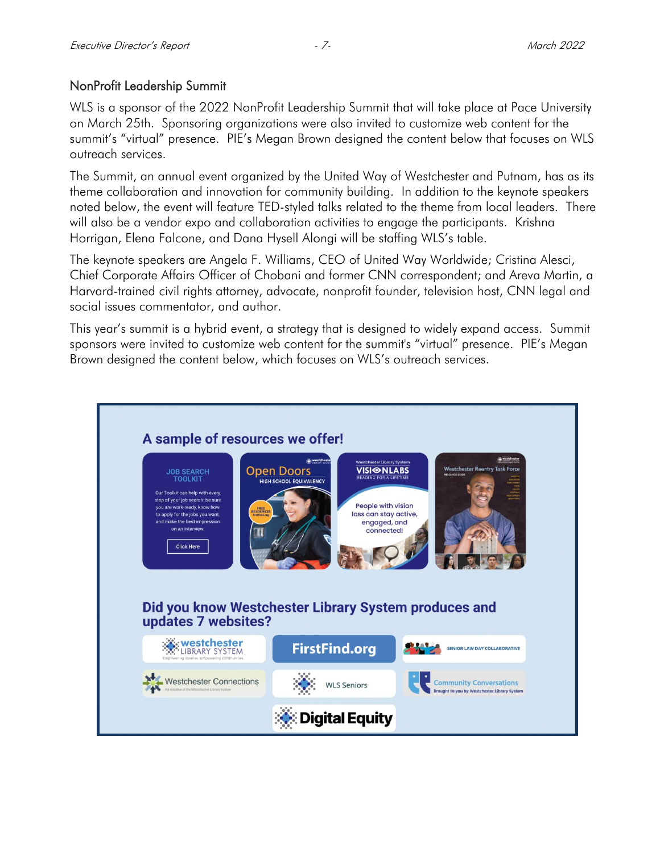### NonProfit Leadership Summit

WLS is a sponsor of the 2022 NonProfit Leadership Summit that will take place at Pace University on March 25th. Sponsoring organizations were also invited to customize web content for the summit's "virtual" presence. PIE's Megan Brown designed the content below that focuses on WLS outreach services.

The Summit, an annual event organized by the United Way of Westchester and Putnam, has as its theme collaboration and innovation for community building. In addition to the keynote speakers noted below, the event will feature TED-styled talks related to the theme from local leaders. There will also be a vendor expo and collaboration activities to engage the participants. Krishna Horrigan, Elena Falcone, and Dana Hysell Alongi will be staffing WLS's table.

The keynote speakers are Angela F. Williams, CEO of United Way Worldwide; Cristina Alesci, Chief Corporate Affairs Officer of Chobani and former CNN correspondent; and Areva Martin, a Harvard-trained civil rights attorney, advocate, nonprofit founder, television host, CNN legal and social issues commentator, and author.

This year's summit is a hybrid event, a strategy that is designed to widely expand access. Summit sponsors were invited to customize web content for the summit's "virtual" presence. PIE's Megan Brown designed the content below, which focuses on WLS's outreach services.